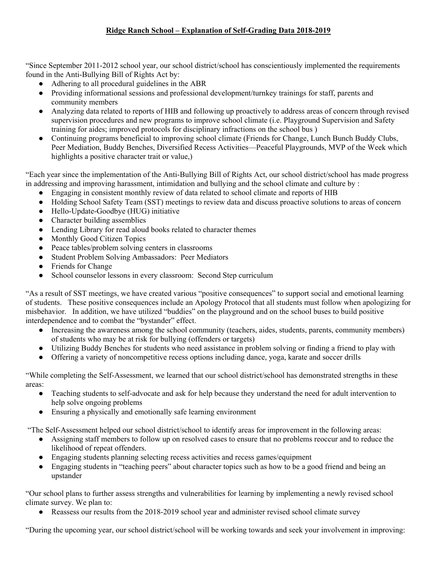## **Ridge Ranch School – Explanation of Self-Grading Data 2018-2019**

"Since September 2011-2012 school year, our school district/school has conscientiously implemented the requirements found in the Anti-Bullying Bill of Rights Act by:

- Adhering to all procedural guidelines in the ABR
- Providing informational sessions and professional development/turnkey trainings for staff, parents and community members
- Analyzing data related to reports of HIB and following up proactively to address areas of concern through revised supervision procedures and new programs to improve school climate (i.e. Playground Supervision and Safety training for aides; improved protocols for disciplinary infractions on the school bus )
- Continuing programs beneficial to improving school climate (Friends for Change, Lunch Bunch Buddy Clubs, Peer Mediation, Buddy Benches, Diversified Recess Activities—Peaceful Playgrounds, MVP of the Week which highlights a positive character trait or value,)

"Each year since the implementation of the Anti-Bullying Bill of Rights Act, our school district/school has made progress in addressing and improving harassment, intimidation and bullying and the school climate and culture by :

- Engaging in consistent monthly review of data related to school climate and reports of HIB
- Holding School Safety Team (SST) meetings to review data and discuss proactive solutions to areas of concern
- Hello-Update-Goodbye (HUG) initiative
- Character building assemblies
- Lending Library for read aloud books related to character themes
- Monthly Good Citizen Topics
- Peace tables/problem solving centers in classrooms
- Student Problem Solving Ambassadors: Peer Mediators
- Friends for Change
- School counselor lessons in every classroom: Second Step curriculum

"As a result of SST meetings, we have created various "positive consequences" to support social and emotional learning of students. These positive consequences include an Apology Protocol that all students must follow when apologizing for misbehavior. In addition, we have utilized "buddies" on the playground and on the school buses to build positive interdependence and to combat the "bystander" effect.

- Increasing the awareness among the school community (teachers, aides, students, parents, community members) of students who may be at risk for bullying (offenders or targets)
- Utilizing Buddy Benches for students who need assistance in problem solving or finding a friend to play with
- Offering a variety of noncompetitive recess options including dance, yoga, karate and soccer drills

"While completing the Self-Assessment, we learned that our school district/school has demonstrated strengths in these areas:

- Teaching students to self-advocate and ask for help because they understand the need for adult intervention to help solve ongoing problems
- Ensuring a physically and emotionally safe learning environment

"The Self-Assessment helped our school district/school to identify areas for improvement in the following areas:

- Assigning staff members to follow up on resolved cases to ensure that no problems reoccur and to reduce the likelihood of repeat offenders.
- Engaging students planning selecting recess activities and recess games/equipment
- Engaging students in "teaching peers" about character topics such as how to be a good friend and being an upstander

"Our school plans to further assess strengths and vulnerabilities for learning by implementing a newly revised school climate survey. We plan to:

• Reassess our results from the 2018-2019 school year and administer revised school climate survey

"During the upcoming year, our school district/school will be working towards and seek your involvement in improving: